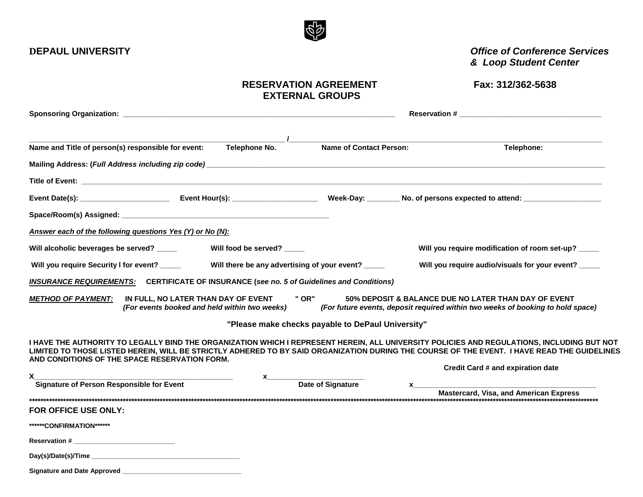## RESERVATION AGREEMENT Fax: 312/362-5638  **EXTERNAL GROUPS**

|                                                                                              | Name and Title of person(s) responsible for event:        | Telephone No.                                 | <b>Name of Contact Person:</b>                                                                   |                                                     | Telephone:                                                                                                                                                                                                                                                                                |  |  |
|----------------------------------------------------------------------------------------------|-----------------------------------------------------------|-----------------------------------------------|--------------------------------------------------------------------------------------------------|-----------------------------------------------------|-------------------------------------------------------------------------------------------------------------------------------------------------------------------------------------------------------------------------------------------------------------------------------------------|--|--|
|                                                                                              |                                                           |                                               |                                                                                                  |                                                     |                                                                                                                                                                                                                                                                                           |  |  |
|                                                                                              |                                                           |                                               |                                                                                                  |                                                     |                                                                                                                                                                                                                                                                                           |  |  |
|                                                                                              |                                                           |                                               |                                                                                                  |                                                     | Event Date(s): ___________________________Event Hour(s): _______________________Week-Day: ________No. of persons expected to attend: ___________________________                                                                                                                          |  |  |
|                                                                                              |                                                           |                                               |                                                                                                  |                                                     |                                                                                                                                                                                                                                                                                           |  |  |
|                                                                                              | Answer each of the following questions Yes (Y) or No (N): |                                               |                                                                                                  |                                                     |                                                                                                                                                                                                                                                                                           |  |  |
| Will alcoholic beverages be served? _____                                                    |                                                           | Will food be served? _____                    |                                                                                                  |                                                     | Will you require modification of room set-up? _____                                                                                                                                                                                                                                       |  |  |
| Will there be any advertising of your event?<br>Will you require Security I for event? _____ |                                                           |                                               |                                                                                                  | Will you require audio/visuals for your event? ____ |                                                                                                                                                                                                                                                                                           |  |  |
|                                                                                              |                                                           |                                               | <b>INSURANCE REQUIREMENTS:</b> CERTIFICATE OF INSURANCE (see no. 5 of Guidelines and Conditions) |                                                     |                                                                                                                                                                                                                                                                                           |  |  |
| <b>METHOD OF PAYMENT:</b>                                                                    | IN FULL, NO LATER THAN DAY OF EVENT                       | (For events booked and held within two weeks) | " OR"                                                                                            |                                                     | 50% DEPOSIT & BALANCE DUE NO LATER THAN DAY OF EVENT<br>(For future events, deposit required within two weeks of booking to hold space)                                                                                                                                                   |  |  |
|                                                                                              |                                                           |                                               | "Please make checks payable to DePaul University"                                                |                                                     |                                                                                                                                                                                                                                                                                           |  |  |
|                                                                                              | AND CONDITIONS OF THE SPACE RESERVATION FORM.             |                                               |                                                                                                  |                                                     | I HAVE THE AUTHORITY TO LEGALLY BIND THE ORGANIZATION WHICH I REPRESENT HEREIN, ALL UNIVERSITY POLICIES AND REGULATIONS, INCLUDING BUT NOT<br>LIMITED TO THOSE LISTED HEREIN, WILL BE STRICTLY ADHERED TO BY SAID ORGANIZATION DURING THE COURSE OF THE EVENT. I HAVE READ THE GUIDELINES |  |  |
|                                                                                              |                                                           |                                               |                                                                                                  |                                                     | Credit Card # and expiration date                                                                                                                                                                                                                                                         |  |  |
| <b>Signature of Person Responsible for Event</b>                                             |                                                           |                                               | Date of Signature                                                                                |                                                     |                                                                                                                                                                                                                                                                                           |  |  |
|                                                                                              |                                                           |                                               |                                                                                                  |                                                     | <b>Mastercard, Visa, and American Express</b>                                                                                                                                                                                                                                             |  |  |
| FOR OFFICE USE ONLY:                                                                         |                                                           |                                               |                                                                                                  |                                                     |                                                                                                                                                                                                                                                                                           |  |  |
| ******CONFIRMATION******                                                                     |                                                           |                                               |                                                                                                  |                                                     |                                                                                                                                                                                                                                                                                           |  |  |

| <b>Reservation #</b> |  |
|----------------------|--|
|                      |  |

| Signature and Date Approved |  |
|-----------------------------|--|
|-----------------------------|--|

 **DEPAUL UNIVERSITY** *Office of Conference Services & Loop Student Center*

 $\mathbb{Q}^{\mathbb{R}}$